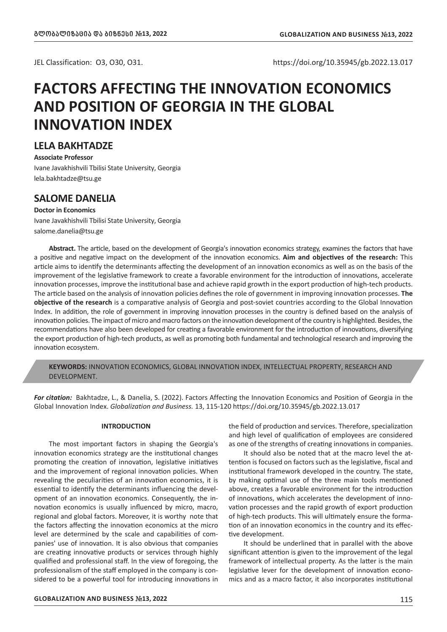JEL Classification: O3, O30, O31. https://doi.org/10.35945/gb.2022.13.017

# **FACTORS AFFECTING THE INNOVATION ECONOMICS AND POSITION OF GEORGIA IN THE GLOBAL INNOVATION INDEX**

### **LELA BAKHTADZE**

**Associate Professor** Ivane Javakhishvili Tbilisi State University, Georgia lela.bakhtadze@tsu.ge

### **SALOME DANELIA**

### **Doctor in Economics**

Ivane Javakhishvili Tbilisi State University, Georgia salome.danelia@tsu.ge

**Abstract.** The article, based on the development of Georgia's innovation economics strategy, examines the factors that have a positive and negative impact on the development of the innovation economics. **Aim and objectives of the research:** This article aims to identify the determinants affecting the development of an innovation economics as well as on the basis of the improvement of the legislative framework to create a favorable environment for the introduction of innovations, accelerate innovation processes, improve the institutional base and achieve rapid growth in the export production of high-tech products. The article based on the analysis of innovation policies defines the role of government in improving innovation processes. **The objective of the research** is a comparative analysis of Georgia and post-soviet countries according to the Global Innovation Index. In addition, the role of government in improving innovation processes in the country is defined based on the analysis of innovation policies. The impact of micro and macro factors on the innovation development of the country is highlighted. Besides, the recommendations have also been developed for creating a favorable environment for the introduction of innovations, diversifying the export production of high-tech products, as well as promoting both fundamental and technological research and improving the innovation ecosystem.

**KEYWORDS:** INNOVATION ECONOMICS, GLOBAL INNOVATION INDEX, INTELLECTUAL PROPERTY, RESEARCH AND DEVELOPMENT.

*For citation:* Bakhtadze, L., & Danelia, S. (2022). Factors Affecting the Innovation Economics and Position of Georgia in the Global Innovation Index. *Globalization and Business.* 13, 115-120 https://doi.org/10.35945/gb.2022.13.017

### **INTRODUCTION**

The most important factors in shaping the Georgia's innovation economics strategy are the institutional changes promoting the creation of innovation, legislative initiatives and the improvement of regional innovation policies. When revealing the peculiarities of an innovation economics, it is essential to identify the determinants influencing the development of an innovation economics. Consequently, the innovation economics is usually influenced by micro, macro, regional and global factors. Moreover, it is worthy note that the factors affecting the innovation economics at the micro level are determined by the scale and capabilities of companies' use of innovation. It is also obvious that companies are creating innovative products or services through highly qualified and professional staff. In the view of foregoing, the professionalism of the staff employed in the company is considered to be a powerful tool for introducing innovations in

**GLOBALIZATION AND BUSINESS** *#***13, 2022** 115

the field of production and services. Therefore, specialization and high level of qualification of employees are considered as one of the strengths of creating innovations in companies.

It should also be noted that at the macro level the attention is focused on factors such as the legislative, fiscal and institutional framework developed in the country. The state, by making optimal use of the three main tools mentioned above, creates a favorable environment for the introduction of innovations, which accelerates the development of innovation processes and the rapid growth of export production of high-tech products. This will ultimately ensure the formation of an innovation economics in the country and its effective development.

It should be underlined that in parallel with the above significant attention is given to the improvement of the legal framework of intellectual property. As the latter is the main legislative lever for the development of innovation economics and as a macro factor, it also incorporates institutional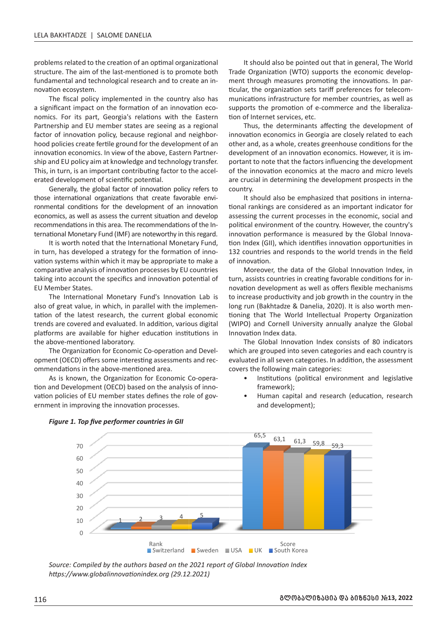problems related to the creation of an optimal organizational structure. The aim of the last-mentioned is to promote both fundamental and technological research and to create an innovation ecosystem.

The fiscal policy implemented in the country also has a significant impact on the formation of an innovation economics. For its part, Georgia's relations with the Eastern Partnership and EU member states are seeing as a regional factor of innovation policy, because regional and neighborhood policies create fertile ground for the development of an innovation economics. In view of the above, Eastern Partnership and EU policy aim at knowledge and technology transfer. This, in turn, is an important contributing factor to the accelerated development of scientific potential.

Generally, the global factor of innovation policy refers to those international organizations that create favorable environmental conditions for the development of an innovation economics, as well as assess the current situation and develop recommendations in this area. The recommendations of the International Monetary Fund (IMF) are noteworthy in this regard.

It is worth noted that the International Monetary Fund, in turn, has developed a strategy for the formation of innovation systems within which it may be appropriate to make a comparative analysis of innovation processes by EU countries taking into account the specifics and innovation potential of EU Member States.

The International Monetary Fund's Innovation Lab is also of great value, in which, in parallel with the implementation of the latest research, the current global economic trends are covered and evaluated. In addition, various digital platforms are available for higher education institutions in the above-mentioned laboratory.

The Organization for Economic Co-operation and Development (OECD) offers some interesting assessments and recommendations in the above-mentioned area.

As is known, the Organization for Economic Co-operation and Development (OECD) based on the analysis of innovation policies of EU member states defines the role of government in improving the innovation processes.

It should also be pointed out that in general, The World Trade Organization (WTO) supports the economic development through measures promoting the innovations. In particular, the organization sets tariff preferences for telecommunications infrastructure for member countries, as well as supports the promotion of e-commerce and the liberalization of Internet services, etc.

Thus, the determinants affecting the development of innovation economics in Georgia are closely related to each other and, as a whole, creates greenhouse conditions for the development of an innovation economics. However, it is important to note that the factors influencing the development of the innovation economics at the macro and micro levels are crucial in determining the development prospects in the country.

It should also be emphasized that positions in international rankings are considered as an important indicator for assessing the current processes in the economic, social and political environment of the country. However, the country's innovation performance is measured by the Global Innovation Index (GII), which identifies innovation opportunities in 132 countries and responds to the world trends in the field of innovation.

Moreover, the data of the Global Innovation Index, in turn, assists countries in creating favorable conditions for innovation development as well as offers flexible mechanisms to increase productivity and job growth in the country in the long run (Bakhtadze & Danelia, 2020). It is also worth mentioning that The World Intellectual Property Organization (WIPO) and Cornell University annually analyze the Global Innovation Index data.

The Global Innovation Index consists of 80 indicators which are grouped into seven categories and each country is evaluated in all seven categories. In addition, the assessment covers the following main categories:

- Institutions (political environment and legislative framework);
- Human capital and research (education, research and development);





*Source: Compiled by the authors based on the 2021 report of Global Innovation Index https://www.globalinnovationindex.org (29.12.2021)*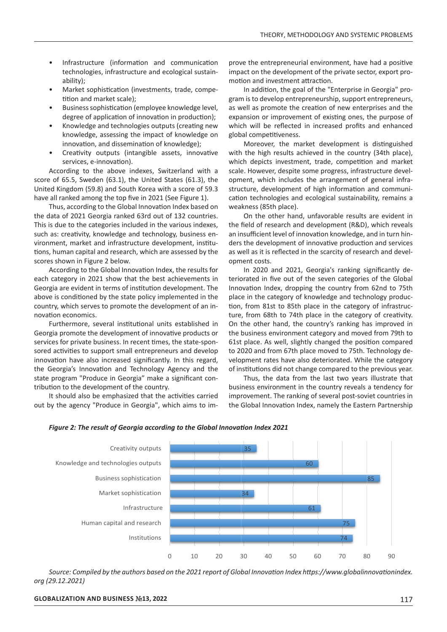- Infrastructure (information and communication technologies, infrastructure and ecological sustainability);
- Market sophistication (investments, trade, competition and market scale);
- Business sophistication (employee knowledge level, degree of application of innovation in production);
- Knowledge and technologies outputs (creating new knowledge, assessing the impact of knowledge on innovation, and dissemination of knowledge);
- Creativity outputs (intangible assets, innovative services, e-innovation).

According to the above indexes, Switzerland with a score of 65.5, Sweden (63.1), the United States (61.3), the United Kingdom (59.8) and South Korea with a score of 59.3 have all ranked among the top five in 2021 (See Figure 1).

Thus, according to the Global Innovation Index based on the data of 2021 Georgia ranked 63rd out of 132 countries. This is due to the categories included in the various indexes, such as: creativity, knowledge and technology, business environment, market and infrastructure development, institu**fions, human capital and research, which are assessed by the as w** scores shown in Figure 2 below.

According to the Global Innovation Index, the results for each category in 2021 show that the best achievements in Georgia are evident in terms of institution development. The above is conditioned by the state policy implemented in the country, which serves to promote the development of an innovation economics. 40

Furthermore, several institutional units established in Georgia promote the development of innovative products or services for private business. In recent times, the state-sponsored activities to support small entrepreneurs and develop innovation have also increased significantly. In this regard, the Georgia's Innovation and Technology Agency and the state program "Produce in Georgia" make a significant contribution to the development of the country. Sweden

It should also be emphasized that the activities carried out by the agency "Produce in Georgia", which aims to improve the entrepreneurial environment, have had a positive impact on the development of the private sector, export promotion and investment attraction.

In addition, the goal of the "Enterprise in Georgia" program is to develop entrepreneurship, support entrepreneurs, as well as promote the creation of new enterprises and the expansion or improvement of existing ones, the purpose of which will be reflected in increased profits and enhanced global competitiveness.

Moreover, the market development is distinguished with the high results achieved in the country (34th place), which depicts investment, trade, competition and market scale. However, despite some progress, infrastructure development, which includes the arrangement of general infrastructure, development of high information and communication technologies and ecological sustainability, remains a weakness (85th place).

On the other hand, unfavorable results are evident in the field of research and development (R&D), which reveals an insufficient level of innovation knowledge, and in turn hinders the development of innovative production and services as well as it is reflected in the scarcity of research and development costs.

In 2020 and 2021, Georgia's ranking significantly de-In 2020 and 2021, Georgia's Tanking Significantly deteriorated in five out of the seven categories of the Global Innovation Index, dropping the country from 62nd to 75th place in the category of knowledge and technology production, from 81st to 85th place in the category of infrastructure, from 68th to 74th place in the category of creativity. On the other hand, the country's ranking has improved in the business environment category and moved from 79th to 61st place. As well, slightly changed the position compared to 2020 and from 67th place moved to 75th. Technology development rates have also deteriorated. While the category of institutions did not change compared to the previous year.

Thus, the data from the last two years illustrate that business environment in the country reveals a tendency for improvement. The ranking of several post-soviet countries in the Global Innovation Index, namely the Eastern Partnership



## *Figure 2: The result of Georgia according to the Global Innovation Index 2021*

*Source: Compiled by the authors based on the 2021 report of Global Innovation Index https://www.globalinnovationindex. org (29.12.2021)*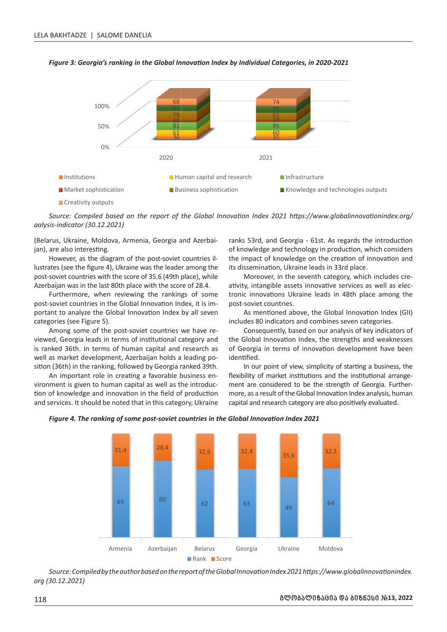

*Figure 3: Georgia's ranking in the Global Innovation Index by Individual Categories, in 2020-2021* **20 021**

Creativity outputs

*Source: Compiled based on the report of the Global Innovation Index 2021 https://www.globalinnovationindex.org/ aalysis-indicator (30.12.2021)*

(Belarus, Ukraine, Moldova, Armenia, Georgia and Azerbaijan), are also interesting.

However, as the diagram of the post-soviet countries illustrates (see the figure 4), Ukraine was the leader among the post-soviet countries with the score of 35.6 (49th place), while Azerbaijan was in the last 80th place with the score of 28.4.

Furthermore, when reviewing the rankings of some post-soviet countries in the Global Innovation Index, it is important to analyze the Global Innovation Index by all seven categories (see Figure 5).

Among some of the post-soviet countries we have reviewed, Georgia leads in terms of institutional category and is ranked 36th. In terms of human capital and research as well as market development, Azerbaijan holds a leading position (36th) in the ranking, followed by Georgia ranked 39th.

An important role in creating a favorable business environment is given to human capital as well as the introduction of knowledge and innovation in the field of production and services. It should be noted that in this category, Ukraine

ranks 53rd, and Georgia - 61st. As regards the introduction of knowledge and technology in production, which considers the impact of knowledge on the creation of innovation and its dissemination, Ukraine leads in 33rd place.

Moreover, in the seventh category, which includes creativity, intangible assets innovative services as well as electronic innovations Ukraine leads in 48th place among the post-soviet countries.

As mentioned above, the Global Innovation Index (GII) includes 80 indicators and combines seven categories.

Consequently, based on our analysis of key indicators of the Global Innovation Index, the strengths and weaknesses of Georgia in terms of innovation development have been identified.

In our point of view, simplicity of starting a business, the flexibility of market institutions and the institutional arrangement are considered to be the strength of Georgia. Furthermore, as a result of the Global Innovation Index analysis, human capital and research category are also positively evaluated.



# *Figure 4. The ranking of some post-soviet countries in the Global Innovation Index 2021* **Global Inn novation Inde ex** 202**1**

*Source: Compiled by the author based on the report of the Global Innovation Index 2021 https://www.globalinnovationindex. org (30.12.2021)*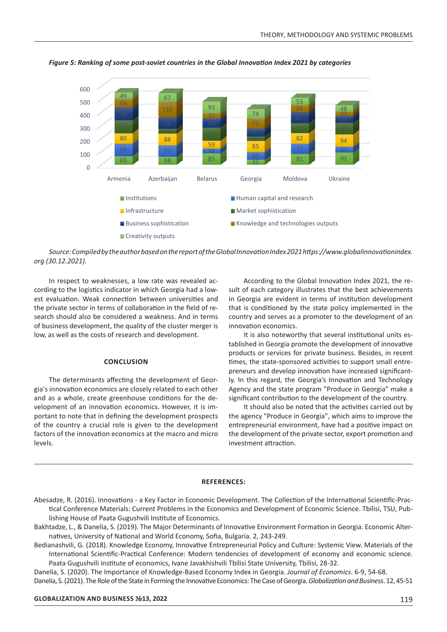

 $\overline{a}$ 

Figure 5: Ranking of some post-soviet countries in the Global Innovation Index 2021 by categories



In respect to weaknesses, a low rate was revealed according to the logistics indicator in which Georgia had a lowest evaluation. Weak connection between universities and the private sector in terms of collaboration in the field of research should also be considered a weakness. And in terms of business development, the quality of the cluster merger is low, as well as the costs of research and development.

### **CONCLUSION**

The determinants affecting the development of Georgia's innovation economics are closely related to each other and as a whole, create greenhouse conditions for the development of an innovation economics. However, it is important to note that in defining the development prospects of the country a crucial role is given to the development factors of the innovation economics at the macro and micro levels.

According to the Global Innovation Index 2021, the result of each category illustrates that the best achievements in Georgia are evident in terms of institution development that is conditioned by the state policy implemented in the country and serves as a promoter to the development of an innovation economics.

It is also noteworthy that several institutional units established in Georgia promote the development of innovative products or services for private business. Besides, in recent times, the state-sponsored activities to support small entrepreneurs and develop innovation have increased significantly. In this regard, the Georgia's Innovation and Technology Agency and the state program "Produce in Georgia" make a significant contribution to the development of the country.

It should also be noted that the activities carried out by the agency "Produce in Georgia", which aims to improve the entrepreneurial environment, have had a positive impact on the development of the private sector, export promotion and investment attraction.

#### **REFERENCES:**

- Abesadze, R. (2016). Innovations a Key Factor in Economic Development. The Collection of the International Scientific-Practical Conference Materials: Current Problems in the Economics and Development of Economic Science. Tbilisi, TSU, Publishing House of Paata Gugushvili Institute of Economics.
- Bakhtadze, L., & Danelia, S. (2019). The Major Determinants of Innovative Environment Formation in Georgia. Economic Alternatives, University of National and World Economy, Sofia, Bulgaria. 2, 243-249.
- Bedianashvili, G. (2018). Knowledge Economy, Innovative Entrepreneurial Policy and Culture: Systemic View. Materials of the International Scientific-Practical Conference: Modern tendencies of development of economy and economic science. Paata Gugushvili institute of economics, Ivane Javakhishvili Tbilisi State University, Tbilisi, 28-32.

Danelia, S. (2020). The Importance of Knowledge-Based Economy Index in Georgia. *Journal of Economics*. 6-9, 54-68.

Danelia, S. (2021). The Role of the State in Forming the Innovative Economics: The Case of Georgia. *Globalization and Business*. 12, 45-51

### **GLOBALIZATION AND BUSINESS** *#***13, 2022** 119